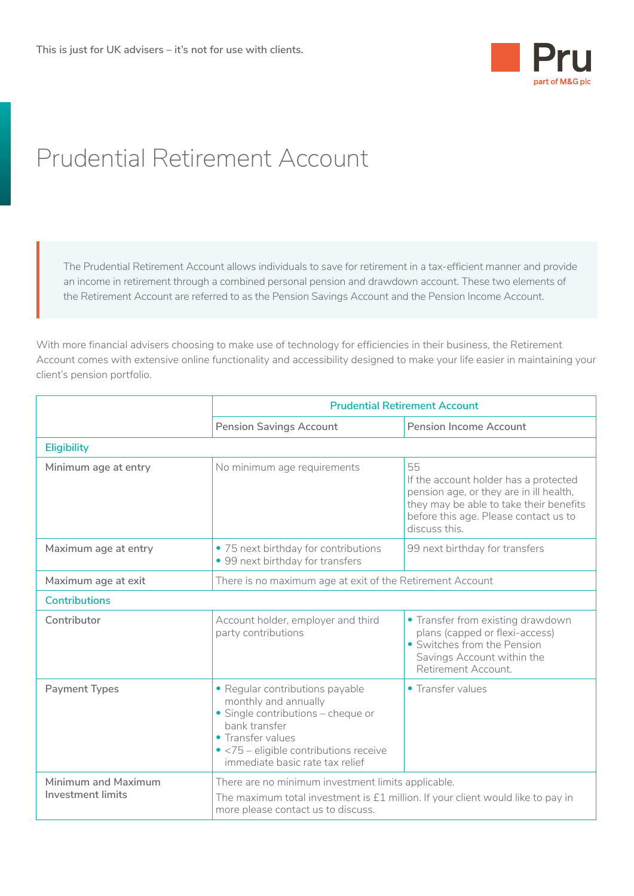

## Prudential Retirement Account

The Prudential Retirement Account allows individuals to save for retirement in a tax-efficient manner and provide an income in retirement through a combined personal pension and drawdown account. These two elements of the Retirement Account are referred to as the Pension Savings Account and the Pension Income Account.

With more financial advisers choosing to make use of technology for efficiencies in their business, the Retirement Account comes with extensive online functionality and accessibility designed to make your life easier in maintaining your client's pension portfolio.

|                                                 | <b>Prudential Retirement Account</b>                                                                                                                                                                             |                                                                                                                                                                                             |  |
|-------------------------------------------------|------------------------------------------------------------------------------------------------------------------------------------------------------------------------------------------------------------------|---------------------------------------------------------------------------------------------------------------------------------------------------------------------------------------------|--|
|                                                 | <b>Pension Savings Account</b>                                                                                                                                                                                   | <b>Pension Income Account</b>                                                                                                                                                               |  |
| <b>Eligibility</b>                              |                                                                                                                                                                                                                  |                                                                                                                                                                                             |  |
| Minimum age at entry                            | No minimum age requirements                                                                                                                                                                                      | 55<br>If the account holder has a protected<br>pension age, or they are in ill health,<br>they may be able to take their benefits<br>before this age. Please contact us to<br>discuss this. |  |
| Maximum age at entry                            | • 75 next birthday for contributions<br>• 99 next birthday for transfers                                                                                                                                         | 99 next birthday for transfers                                                                                                                                                              |  |
| Maximum age at exit                             | There is no maximum age at exit of the Retirement Account                                                                                                                                                        |                                                                                                                                                                                             |  |
| <b>Contributions</b>                            |                                                                                                                                                                                                                  |                                                                                                                                                                                             |  |
| Contributor                                     | Account holder, employer and third<br>party contributions                                                                                                                                                        | • Transfer from existing drawdown<br>plans (capped or flexi-access)<br>• Switches from the Pension<br>Savings Account within the<br>Retirement Account.                                     |  |
| <b>Payment Types</b>                            | • Regular contributions payable<br>monthly and annually<br>· Single contributions - cheque or<br>bank transfer<br>• Transfer values<br>• <75 - eligible contributions receive<br>immediate basic rate tax relief | • Transfer values                                                                                                                                                                           |  |
| Minimum and Maximum<br><b>Investment limits</b> | There are no minimum investment limits applicable.<br>The maximum total investment is $£1$ million. If your client would like to pay in<br>more please contact us to discuss.                                    |                                                                                                                                                                                             |  |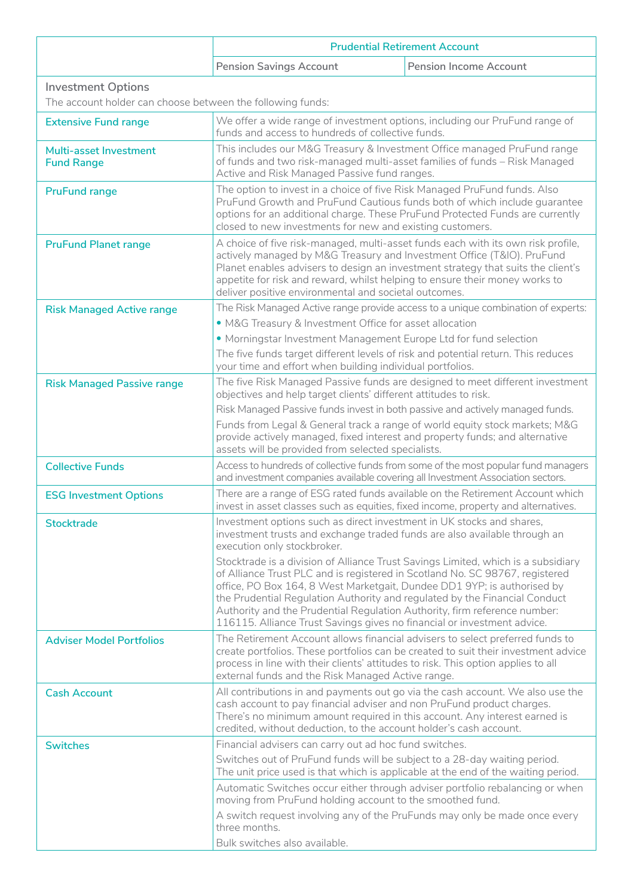|                                                                                         | <b>Prudential Retirement Account</b>                                                                                                                                                                                                                                                                                                                                                                                                                                                                                                                                                                                                                                    |                               |  |
|-----------------------------------------------------------------------------------------|-------------------------------------------------------------------------------------------------------------------------------------------------------------------------------------------------------------------------------------------------------------------------------------------------------------------------------------------------------------------------------------------------------------------------------------------------------------------------------------------------------------------------------------------------------------------------------------------------------------------------------------------------------------------------|-------------------------------|--|
|                                                                                         | <b>Pension Savings Account</b>                                                                                                                                                                                                                                                                                                                                                                                                                                                                                                                                                                                                                                          | <b>Pension Income Account</b> |  |
| <b>Investment Options</b><br>The account holder can choose between the following funds: |                                                                                                                                                                                                                                                                                                                                                                                                                                                                                                                                                                                                                                                                         |                               |  |
| <b>Extensive Fund range</b>                                                             | We offer a wide range of investment options, including our PruFund range of<br>funds and access to hundreds of collective funds.                                                                                                                                                                                                                                                                                                                                                                                                                                                                                                                                        |                               |  |
| Multi-asset Investment<br><b>Fund Range</b>                                             | This includes our M&G Treasury & Investment Office managed PruFund range<br>of funds and two risk-managed multi-asset families of funds - Risk Managed<br>Active and Risk Managed Passive fund ranges.                                                                                                                                                                                                                                                                                                                                                                                                                                                                  |                               |  |
| <b>PruFund range</b>                                                                    | The option to invest in a choice of five Risk Managed PruFund funds. Also<br>PruFund Growth and PruFund Cautious funds both of which include guarantee<br>options for an additional charge. These PruFund Protected Funds are currently<br>closed to new investments for new and existing customers.                                                                                                                                                                                                                                                                                                                                                                    |                               |  |
| <b>PruFund Planet range</b>                                                             | A choice of five risk-managed, multi-asset funds each with its own risk profile,<br>actively managed by M&G Treasury and Investment Office (T&IO). PruFund<br>Planet enables advisers to design an investment strategy that suits the client's<br>appetite for risk and reward, whilst helping to ensure their money works to<br>deliver positive environmental and societal outcomes.                                                                                                                                                                                                                                                                                  |                               |  |
| <b>Risk Managed Active range</b>                                                        | The Risk Managed Active range provide access to a unique combination of experts:<br>• M&G Treasury & Investment Office for asset allocation<br>• Morningstar Investment Management Europe Ltd for fund selection<br>The five funds target different levels of risk and potential return. This reduces<br>your time and effort when building individual portfolios.                                                                                                                                                                                                                                                                                                      |                               |  |
| <b>Risk Managed Passive range</b>                                                       | The five Risk Managed Passive funds are designed to meet different investment<br>objectives and help target clients' different attitudes to risk.<br>Risk Managed Passive funds invest in both passive and actively managed funds.<br>Funds from Legal & General track a range of world equity stock markets; M&G<br>provide actively managed, fixed interest and property funds; and alternative<br>assets will be provided from selected specialists.                                                                                                                                                                                                                 |                               |  |
| <b>Collective Funds</b>                                                                 | Access to hundreds of collective funds from some of the most popular fund managers<br>and investment companies available covering all Investment Association sectors.                                                                                                                                                                                                                                                                                                                                                                                                                                                                                                   |                               |  |
| <b>ESG Investment Options</b>                                                           | There are a range of ESG rated funds available on the Retirement Account which<br>invest in asset classes such as equities, fixed income, property and alternatives.                                                                                                                                                                                                                                                                                                                                                                                                                                                                                                    |                               |  |
| <b>Stocktrade</b>                                                                       | Investment options such as direct investment in UK stocks and shares,<br>investment trusts and exchange traded funds are also available through an<br>execution only stockbroker.<br>Stocktrade is a division of Alliance Trust Savings Limited, which is a subsidiary<br>of Alliance Trust PLC and is registered in Scotland No. SC 98767, registered<br>office, PO Box 164, 8 West Marketgait, Dundee DD1 9YP; is authorised by<br>the Prudential Regulation Authority and regulated by the Financial Conduct<br>Authority and the Prudential Regulation Authority, firm reference number:<br>116115. Alliance Trust Savings gives no financial or investment advice. |                               |  |
| <b>Adviser Model Portfolios</b>                                                         | The Retirement Account allows financial advisers to select preferred funds to<br>create portfolios. These portfolios can be created to suit their investment advice<br>process in line with their clients' attitudes to risk. This option applies to all<br>external funds and the Risk Managed Active range.                                                                                                                                                                                                                                                                                                                                                           |                               |  |
| <b>Cash Account</b>                                                                     | All contributions in and payments out go via the cash account. We also use the<br>cash account to pay financial adviser and non PruFund product charges.<br>There's no minimum amount required in this account. Any interest earned is<br>credited, without deduction, to the account holder's cash account.                                                                                                                                                                                                                                                                                                                                                            |                               |  |
| <b>Switches</b>                                                                         | Financial advisers can carry out ad hoc fund switches.<br>Switches out of PruFund funds will be subject to a 28-day waiting period.<br>The unit price used is that which is applicable at the end of the waiting period.<br>Automatic Switches occur either through adviser portfolio rebalancing or when<br>moving from PruFund holding account to the smoothed fund.<br>A switch request involving any of the PruFunds may only be made once every<br>three months.                                                                                                                                                                                                   |                               |  |
|                                                                                         | Bulk switches also available.                                                                                                                                                                                                                                                                                                                                                                                                                                                                                                                                                                                                                                           |                               |  |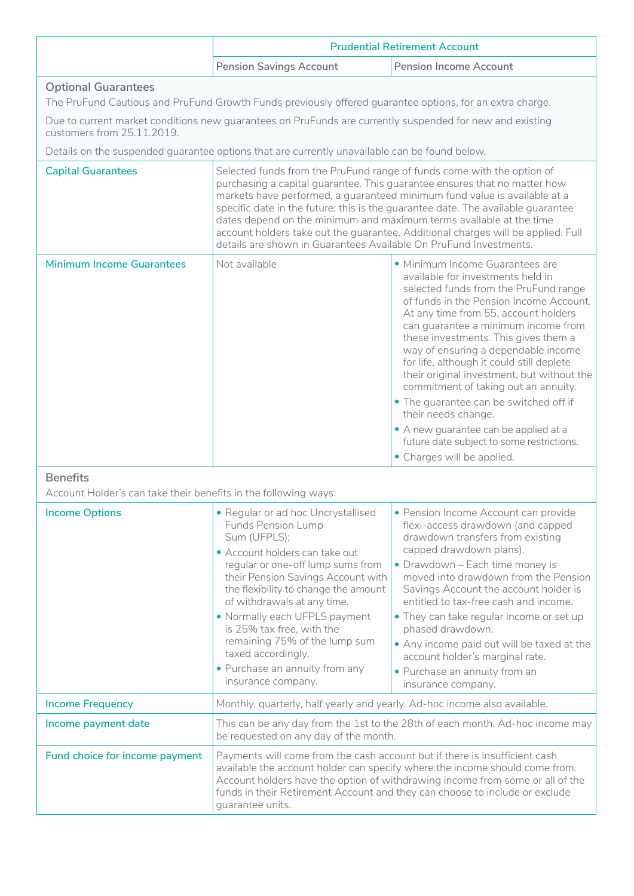|                                                                                                                                                                                                                                                    | <b>Prudential Retirement Account</b>                                                                                                                                                                                                                                                                                                                                                                                                                                                                                                                 |                                                                                                                                                                                                                                                                                                                                                                                                                                                                                                                                                                                                                  |  |
|----------------------------------------------------------------------------------------------------------------------------------------------------------------------------------------------------------------------------------------------------|------------------------------------------------------------------------------------------------------------------------------------------------------------------------------------------------------------------------------------------------------------------------------------------------------------------------------------------------------------------------------------------------------------------------------------------------------------------------------------------------------------------------------------------------------|------------------------------------------------------------------------------------------------------------------------------------------------------------------------------------------------------------------------------------------------------------------------------------------------------------------------------------------------------------------------------------------------------------------------------------------------------------------------------------------------------------------------------------------------------------------------------------------------------------------|--|
|                                                                                                                                                                                                                                                    | <b>Pension Savings Account</b>                                                                                                                                                                                                                                                                                                                                                                                                                                                                                                                       | <b>Pension Income Account</b>                                                                                                                                                                                                                                                                                                                                                                                                                                                                                                                                                                                    |  |
| <b>Optional Guarantees</b><br>The PruFund Cautious and PruFund Growth Funds previously offered guarantee options, for an extra charge.<br>Due to current market conditions new guarantees on PruFunds are currently suspended for new and existing |                                                                                                                                                                                                                                                                                                                                                                                                                                                                                                                                                      |                                                                                                                                                                                                                                                                                                                                                                                                                                                                                                                                                                                                                  |  |
| customers from 25.11.2019.                                                                                                                                                                                                                         | Details on the suspended guarantee options that are currently unavailable can be found below.                                                                                                                                                                                                                                                                                                                                                                                                                                                        |                                                                                                                                                                                                                                                                                                                                                                                                                                                                                                                                                                                                                  |  |
| <b>Capital Guarantees</b>                                                                                                                                                                                                                          | Selected funds from the PruFund range of funds come with the option of<br>purchasing a capital guarantee. This guarantee ensures that no matter how<br>markets have performed, a guaranteed minimum fund value is available at a<br>specific date in the future: this is the guarantee date. The available guarantee<br>dates depend on the minimum and maximum terms available at the time<br>account holders take out the guarantee. Additional charges will be applied. Full<br>details are shown in Guarantees Available On PruFund Investments. |                                                                                                                                                                                                                                                                                                                                                                                                                                                                                                                                                                                                                  |  |
| <b>Minimum Income Guarantees</b>                                                                                                                                                                                                                   | Not available                                                                                                                                                                                                                                                                                                                                                                                                                                                                                                                                        | · Minimum Income Guarantees are<br>available for investments held in<br>selected funds from the PruFund range<br>of funds in the Pension Income Account.<br>At any time from 55, account holders<br>can guarantee a minimum income from<br>these investments. This gives them a<br>way of ensuring a dependable income<br>for life, although it could still deplete<br>their original investment, but without the<br>commitment of taking out an annuity.<br>• The guarantee can be switched off if<br>their needs change.<br>• A new guarantee can be applied at a<br>future date subject to some restrictions. |  |
|                                                                                                                                                                                                                                                    |                                                                                                                                                                                                                                                                                                                                                                                                                                                                                                                                                      | • Charges will be applied.                                                                                                                                                                                                                                                                                                                                                                                                                                                                                                                                                                                       |  |
| <b>Benefits</b><br>Account Holder's can take their benefits in the following ways:                                                                                                                                                                 |                                                                                                                                                                                                                                                                                                                                                                                                                                                                                                                                                      |                                                                                                                                                                                                                                                                                                                                                                                                                                                                                                                                                                                                                  |  |
| <b>Income Options</b>                                                                                                                                                                                                                              | · Regular or ad hoc Uncrystallised<br><b>Funds Pension Lump</b><br>Sum (UFPLS);<br>• Account holders can take out<br>regular or one-off lump sums from<br>their Pension Savings Account with<br>the flexibility to change the amount<br>of withdrawals at any time.                                                                                                                                                                                                                                                                                  | · Pension Income Account can provide<br>flexi-access drawdown (and capped<br>drawdown transfers from existing<br>capped drawdown plans).<br>• Drawdown - Each time money is<br>moved into drawdown from the Pension<br>Savings Account the account holder is<br>entitled to tax-free cash and income.                                                                                                                                                                                                                                                                                                            |  |
|                                                                                                                                                                                                                                                    | . Normally each UFPLS payment<br>is 25% tax free, with the<br>remaining 75% of the lump sum<br>taxed accordingly.<br>• Purchase an annuity from any<br>insurance company.                                                                                                                                                                                                                                                                                                                                                                            | • They can take regular income or set up<br>phased drawdown.<br>. Any income paid out will be taxed at the<br>account holder's marginal rate.<br>• Purchase an annuity from an<br>insurance company.                                                                                                                                                                                                                                                                                                                                                                                                             |  |
| <b>Income Frequency</b>                                                                                                                                                                                                                            |                                                                                                                                                                                                                                                                                                                                                                                                                                                                                                                                                      | Monthly, quarterly, half yearly and yearly. Ad-hoc income also available.                                                                                                                                                                                                                                                                                                                                                                                                                                                                                                                                        |  |
| Income payment date                                                                                                                                                                                                                                | This can be any day from the 1st to the 28th of each month. Ad-hoc income may<br>be requested on any day of the month.                                                                                                                                                                                                                                                                                                                                                                                                                               |                                                                                                                                                                                                                                                                                                                                                                                                                                                                                                                                                                                                                  |  |
| Fund choice for income payment                                                                                                                                                                                                                     | Payments will come from the cash account but if there is insufficient cash<br>available the account holder can specify where the income should come from.<br>Account holders have the option of withdrawing income from some or all of the<br>funds in their Retirement Account and they can choose to include or exclude<br>guarantee units.                                                                                                                                                                                                        |                                                                                                                                                                                                                                                                                                                                                                                                                                                                                                                                                                                                                  |  |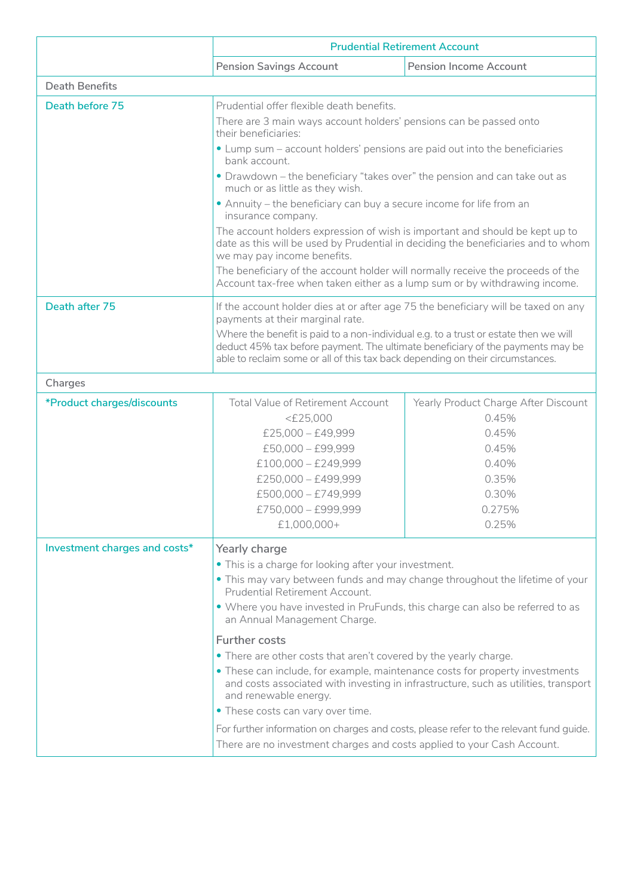|                               | <b>Prudential Retirement Account</b>                                                                                                                                                                                                                     |                                      |  |
|-------------------------------|----------------------------------------------------------------------------------------------------------------------------------------------------------------------------------------------------------------------------------------------------------|--------------------------------------|--|
|                               | <b>Pension Savings Account</b>                                                                                                                                                                                                                           | <b>Pension Income Account</b>        |  |
| <b>Death Benefits</b>         |                                                                                                                                                                                                                                                          |                                      |  |
| Death before 75               | Prudential offer flexible death benefits.                                                                                                                                                                                                                |                                      |  |
|                               | There are 3 main ways account holders' pensions can be passed onto<br>their beneficiaries:                                                                                                                                                               |                                      |  |
|                               | • Lump sum - account holders' pensions are paid out into the beneficiaries<br>bank account.                                                                                                                                                              |                                      |  |
|                               | • Drawdown - the beneficiary "takes over" the pension and can take out as<br>much or as little as they wish.                                                                                                                                             |                                      |  |
|                               | • Annuity – the beneficiary can buy a secure income for life from an<br>insurance company.                                                                                                                                                               |                                      |  |
|                               | The account holders expression of wish is important and should be kept up to<br>date as this will be used by Prudential in deciding the beneficiaries and to whom<br>we may pay income benefits.                                                         |                                      |  |
|                               | The beneficiary of the account holder will normally receive the proceeds of the<br>Account tax-free when taken either as a lump sum or by withdrawing income.                                                                                            |                                      |  |
| Death after 75                | If the account holder dies at or after age 75 the beneficiary will be taxed on any<br>payments at their marginal rate.                                                                                                                                   |                                      |  |
|                               | Where the benefit is paid to a non-individual e.g. to a trust or estate then we will<br>deduct 45% tax before payment. The ultimate beneficiary of the payments may be<br>able to reclaim some or all of this tax back depending on their circumstances. |                                      |  |
| Charges                       |                                                                                                                                                                                                                                                          |                                      |  |
| *Product charges/discounts    | Total Value of Retirement Account                                                                                                                                                                                                                        | Yearly Product Charge After Discount |  |
|                               | $<$ £25,000                                                                                                                                                                                                                                              | 0.45%                                |  |
|                               | $£25,000 - £49,999$<br>0.45%                                                                                                                                                                                                                             |                                      |  |
|                               | $£50,000 - £99,999$                                                                                                                                                                                                                                      | 0.45%                                |  |
|                               | $£100,000 - £249,999$                                                                                                                                                                                                                                    | 0.40%                                |  |
|                               | £250,000 - £499,999                                                                                                                                                                                                                                      | 0.35%                                |  |
|                               | $£500,000 - £749,999$<br>0.30%                                                                                                                                                                                                                           |                                      |  |
|                               | 0.275%<br>£750,000 - £999,999                                                                                                                                                                                                                            |                                      |  |
|                               | £1,000,000+                                                                                                                                                                                                                                              | 0.25%                                |  |
| Investment charges and costs* | Yearly charge                                                                                                                                                                                                                                            |                                      |  |
|                               | • This is a charge for looking after your investment.                                                                                                                                                                                                    |                                      |  |
|                               | . This may vary between funds and may change throughout the lifetime of your<br>Prudential Retirement Account.                                                                                                                                           |                                      |  |
|                               | • Where you have invested in PruFunds, this charge can also be referred to as<br>an Annual Management Charge.                                                                                                                                            |                                      |  |
|                               | <b>Further costs</b>                                                                                                                                                                                                                                     |                                      |  |
|                               |                                                                                                                                                                                                                                                          |                                      |  |
|                               | • There are other costs that aren't covered by the yearly charge.<br>• These can include, for example, maintenance costs for property investments<br>and costs associated with investing in infrastructure, such as utilities, transport                 |                                      |  |
|                               | and renewable energy.<br>• These costs can vary over time.                                                                                                                                                                                               |                                      |  |
|                               | For further information on charges and costs, please refer to the relevant fund guide.                                                                                                                                                                   |                                      |  |
|                               | There are no investment charges and costs applied to your Cash Account.                                                                                                                                                                                  |                                      |  |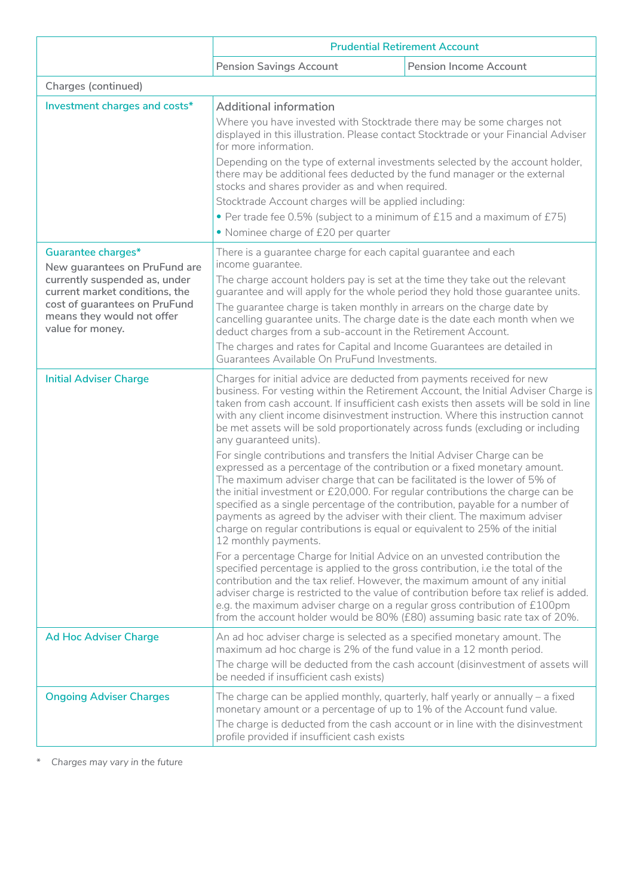|                                                                                                                                                    | <b>Prudential Retirement Account</b>                                                                                                                                                                                                                                                                                                                                                                                                                                                                                                                                                                                                                                                                                                                                                                                                                                                                                                                                                                                                                                                                                                                                                                                                                                                                                                                                                                                                                                                                                                                  |                               |  |
|----------------------------------------------------------------------------------------------------------------------------------------------------|-------------------------------------------------------------------------------------------------------------------------------------------------------------------------------------------------------------------------------------------------------------------------------------------------------------------------------------------------------------------------------------------------------------------------------------------------------------------------------------------------------------------------------------------------------------------------------------------------------------------------------------------------------------------------------------------------------------------------------------------------------------------------------------------------------------------------------------------------------------------------------------------------------------------------------------------------------------------------------------------------------------------------------------------------------------------------------------------------------------------------------------------------------------------------------------------------------------------------------------------------------------------------------------------------------------------------------------------------------------------------------------------------------------------------------------------------------------------------------------------------------------------------------------------------------|-------------------------------|--|
|                                                                                                                                                    | <b>Pension Savings Account</b>                                                                                                                                                                                                                                                                                                                                                                                                                                                                                                                                                                                                                                                                                                                                                                                                                                                                                                                                                                                                                                                                                                                                                                                                                                                                                                                                                                                                                                                                                                                        | <b>Pension Income Account</b> |  |
| Charges (continued)                                                                                                                                |                                                                                                                                                                                                                                                                                                                                                                                                                                                                                                                                                                                                                                                                                                                                                                                                                                                                                                                                                                                                                                                                                                                                                                                                                                                                                                                                                                                                                                                                                                                                                       |                               |  |
| Investment charges and costs*                                                                                                                      | <b>Additional information</b><br>Where you have invested with Stocktrade there may be some charges not<br>displayed in this illustration. Please contact Stocktrade or your Financial Adviser<br>for more information.                                                                                                                                                                                                                                                                                                                                                                                                                                                                                                                                                                                                                                                                                                                                                                                                                                                                                                                                                                                                                                                                                                                                                                                                                                                                                                                                |                               |  |
|                                                                                                                                                    | Depending on the type of external investments selected by the account holder,<br>there may be additional fees deducted by the fund manager or the external<br>stocks and shares provider as and when required.<br>Stocktrade Account charges will be applied including:<br>• Per trade fee 0.5% (subject to a minimum of £15 and a maximum of £75)<br>• Nominee charge of £20 per quarter                                                                                                                                                                                                                                                                                                                                                                                                                                                                                                                                                                                                                                                                                                                                                                                                                                                                                                                                                                                                                                                                                                                                                             |                               |  |
|                                                                                                                                                    |                                                                                                                                                                                                                                                                                                                                                                                                                                                                                                                                                                                                                                                                                                                                                                                                                                                                                                                                                                                                                                                                                                                                                                                                                                                                                                                                                                                                                                                                                                                                                       |                               |  |
| Guarantee charges*<br>New guarantees on PruFund are                                                                                                | There is a guarantee charge for each capital guarantee and each<br>income guarantee.                                                                                                                                                                                                                                                                                                                                                                                                                                                                                                                                                                                                                                                                                                                                                                                                                                                                                                                                                                                                                                                                                                                                                                                                                                                                                                                                                                                                                                                                  |                               |  |
| currently suspended as, under<br>current market conditions, the<br>cost of guarantees on PruFund<br>means they would not offer<br>value for money. | The charge account holders pay is set at the time they take out the relevant<br>guarantee and will apply for the whole period they hold those guarantee units.<br>The guarantee charge is taken monthly in arrears on the charge date by<br>cancelling guarantee units. The charge date is the date each month when we<br>deduct charges from a sub-account in the Retirement Account.                                                                                                                                                                                                                                                                                                                                                                                                                                                                                                                                                                                                                                                                                                                                                                                                                                                                                                                                                                                                                                                                                                                                                                |                               |  |
|                                                                                                                                                    | The charges and rates for Capital and Income Guarantees are detailed in<br>Guarantees Available On PruFund Investments.                                                                                                                                                                                                                                                                                                                                                                                                                                                                                                                                                                                                                                                                                                                                                                                                                                                                                                                                                                                                                                                                                                                                                                                                                                                                                                                                                                                                                               |                               |  |
| <b>Initial Adviser Charge</b>                                                                                                                      | Charges for initial advice are deducted from payments received for new<br>business. For vesting within the Retirement Account, the Initial Adviser Charge is<br>taken from cash account. If insufficient cash exists then assets will be sold in line<br>with any client income disinvestment instruction. Where this instruction cannot<br>be met assets will be sold proportionately across funds (excluding or including<br>any guaranteed units).<br>For single contributions and transfers the Initial Adviser Charge can be<br>expressed as a percentage of the contribution or a fixed monetary amount.<br>The maximum adviser charge that can be facilitated is the lower of 5% of<br>the initial investment or £20,000. For regular contributions the charge can be<br>specified as a single percentage of the contribution, payable for a number of<br>payments as agreed by the adviser with their client. The maximum adviser<br>charge on regular contributions is equal or equivalent to 25% of the initial<br>12 monthly payments.<br>For a percentage Charge for Initial Advice on an unvested contribution the<br>specified percentage is applied to the gross contribution, i.e the total of the<br>contribution and the tax relief. However, the maximum amount of any initial<br>adviser charge is restricted to the value of contribution before tax relief is added.<br>e.g. the maximum adviser charge on a regular gross contribution of £100pm<br>from the account holder would be 80% (£80) assuming basic rate tax of 20%. |                               |  |
|                                                                                                                                                    |                                                                                                                                                                                                                                                                                                                                                                                                                                                                                                                                                                                                                                                                                                                                                                                                                                                                                                                                                                                                                                                                                                                                                                                                                                                                                                                                                                                                                                                                                                                                                       |                               |  |
|                                                                                                                                                    |                                                                                                                                                                                                                                                                                                                                                                                                                                                                                                                                                                                                                                                                                                                                                                                                                                                                                                                                                                                                                                                                                                                                                                                                                                                                                                                                                                                                                                                                                                                                                       |                               |  |
| <b>Ad Hoc Adviser Charge</b>                                                                                                                       | An ad hoc adviser charge is selected as a specified monetary amount. The<br>maximum ad hoc charge is 2% of the fund value in a 12 month period.<br>The charge will be deducted from the cash account (disinvestment of assets will<br>be needed if insufficient cash exists)                                                                                                                                                                                                                                                                                                                                                                                                                                                                                                                                                                                                                                                                                                                                                                                                                                                                                                                                                                                                                                                                                                                                                                                                                                                                          |                               |  |
| <b>Ongoing Adviser Charges</b>                                                                                                                     | The charge can be applied monthly, quarterly, half yearly or annually - a fixed<br>monetary amount or a percentage of up to 1% of the Account fund value.<br>The charge is deducted from the cash account or in line with the disinvestment<br>profile provided if insufficient cash exists                                                                                                                                                                                                                                                                                                                                                                                                                                                                                                                                                                                                                                                                                                                                                                                                                                                                                                                                                                                                                                                                                                                                                                                                                                                           |                               |  |

*\* Charges may vary in the future*